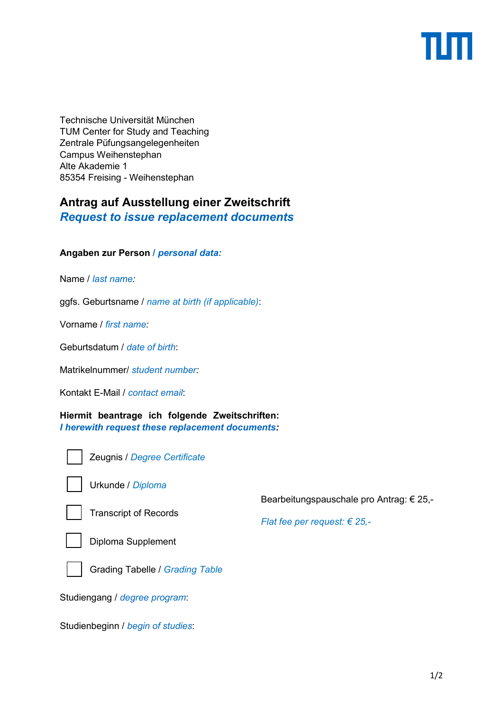Technische Universität München TUM Center for Study and Teaching Zentrale Püfungsangelegenheiten Campus Weihenstephan Alte Akademie 1 85354 Freising - Weihenstephan

# **Antrag auf Ausstellung einer Zweitschrift**

*Request to issue replacement documents* 

## **Angaben zur Person /** *personal data:*

Name / *last name:* 

ggfs. Geburtsname / *name at birth (if applicable)*:

Vorname / *first name:* 

Geburtsdatum / *date of birth*:

Matrikelnummer/ *student number:*

Kontakt E-Mail / *contact email*:

**Hiermit beantrage ich folgende Zweitschriften:**  *I herewith request these replacement documents:* 



Zeugnis / *Degree Certificate* 



Urkunde / *Diploma*



Transcript of Records

Bearbeitungspauschale pro Antrag: € 25,-

*Flat fee per request: € 25,-*



Diploma Supplement



Grading Tabelle / *Grading Table* 

Studiengang / *degree program*:

Studienbeginn / *begin of studies*: